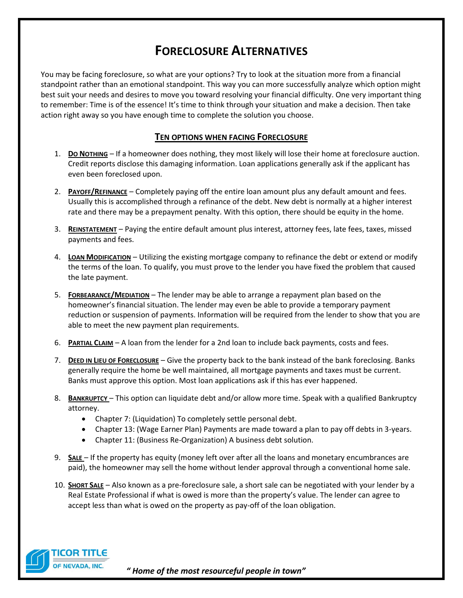# **FORECLOSURE ALTERNATIVES**

You may be facing foreclosure, so what are your options? Try to look at the situation more from a financial standpoint rather than an emotional standpoint. This way you can more successfully analyze which option might best suit your needs and desires to move you toward resolving your financial difficulty. One very important thing to remember: Time is of the essence! It's time to think through your situation and make a decision. Then take action right away so you have enough time to complete the solution you choose.

# **TEN OPTIONS WHEN FACING FORECLOSURE**

- 1. **DO NOTHING** If a homeowner does nothing, they most likely will lose their home at foreclosure auction. Credit reports disclose this damaging information. Loan applications generally ask if the applicant has even been foreclosed upon.
- 2. **PAYOFF/REFINANCE** Completely paying off the entire loan amount plus any default amount and fees. Usually this is accomplished through a refinance of the debt. New debt is normally at a higher interest rate and there may be a prepayment penalty. With this option, there should be equity in the home.
- 3. **REINSTATEMENT** Paying the entire default amount plus interest, attorney fees, late fees, taxes, missed payments and fees.
- 4. **LOAN MODIFICATION** Utilizing the existing mortgage company to refinance the debt or extend or modify the terms of the loan. To qualify, you must prove to the lender you have fixed the problem that caused the late payment.
- 5. **FORBEARANCE/MEDIATION** The lender may be able to arrange a repayment plan based on the homeowner's financial situation. The lender may even be able to provide a temporary payment reduction or suspension of payments. Information will be required from the lender to show that you are able to meet the new payment plan requirements.
- 6. **PARTIAL CLAIM** A loan from the lender for a 2nd loan to include back payments, costs and fees.
- 7. **DEED IN LIEU OF FORECLOSURE** Give the property back to the bank instead of the bank foreclosing. Banks generally require the home be well maintained, all mortgage payments and taxes must be current. Banks must approve this option. Most loan applications ask if this has ever happened.
- 8. **BANKRUPTCY** This option can liquidate debt and/or allow more time. Speak with a qualified Bankruptcy attorney.
	- Chapter 7: (Liquidation) To completely settle personal debt.
	- Chapter 13: (Wage Earner Plan) Payments are made toward a plan to pay off debts in 3-years.
	- Chapter 11: (Business Re-Organization) A business debt solution.
- 9. **SALE** If the property has equity (money left over after all the loans and monetary encumbrances are paid), the homeowner may sell the home without lender approval through a conventional home sale.
- 10. **SHORT SALE** Also known as a pre-foreclosure sale, a short sale can be negotiated with your lender by a Real Estate Professional if what is owed is more than the property's value. The lender can agree to accept less than what is owed on the property as pay-off of the loan obligation.

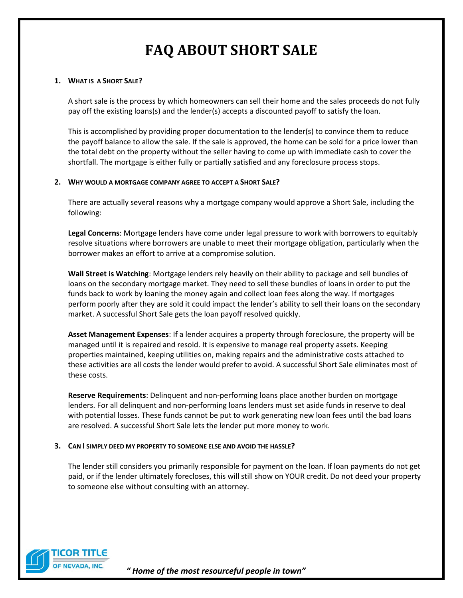# **FAQ ABOUT SHORT SALE**

### **1. WHAT IS A SHORT SALE?**

A short sale is the process by which homeowners can sell their home and the sales proceeds do not fully pay off the existing loans(s) and the lender(s) accepts a discounted payoff to satisfy the loan.

This is accomplished by providing proper documentation to the lender(s) to convince them to reduce the payoff balance to allow the sale. If the sale is approved, the home can be sold for a price lower than the total debt on the property without the seller having to come up with immediate cash to cover the shortfall. The mortgage is either fully or partially satisfied and any foreclosure process stops.

# **2. WHY WOULD A MORTGAGE COMPANY AGREE TO ACCEPT A SHORT SALE?**

There are actually several reasons why a mortgage company would approve a Short Sale, including the following:

**Legal Concerns**: Mortgage lenders have come under legal pressure to work with borrowers to equitably resolve situations where borrowers are unable to meet their mortgage obligation, particularly when the borrower makes an effort to arrive at a compromise solution.

**Wall Street is Watching**: Mortgage lenders rely heavily on their ability to package and sell bundles of loans on the secondary mortgage market. They need to sell these bundles of loans in order to put the funds back to work by loaning the money again and collect loan fees along the way. If mortgages perform poorly after they are sold it could impact the lender's ability to sell their loans on the secondary market. A successful Short Sale gets the loan payoff resolved quickly.

**Asset Management Expenses**: If a lender acquires a property through foreclosure, the property will be managed until it is repaired and resold. It is expensive to manage real property assets. Keeping properties maintained, keeping utilities on, making repairs and the administrative costs attached to these activities are all costs the lender would prefer to avoid. A successful Short Sale eliminates most of these costs.

**Reserve Requirements**: Delinquent and non-performing loans place another burden on mortgage lenders. For all delinquent and non-performing loans lenders must set aside funds in reserve to deal with potential losses. These funds cannot be put to work generating new loan fees until the bad loans are resolved. A successful Short Sale lets the lender put more money to work.

# **3. CAN I SIMPLY DEED MY PROPERTY TO SOMEONE ELSE AND AVOID THE HASSLE?**

The lender still considers you primarily responsible for payment on the loan. If loan payments do not get paid, or if the lender ultimately forecloses, this will still show on YOUR credit. Do not deed your property to someone else without consulting with an attorney.

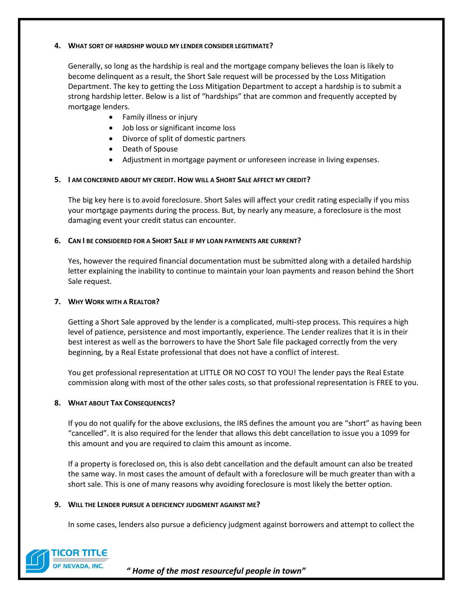# **4. WHAT SORT OF HARDSHIP WOULD MY LENDER CONSIDER LEGITIMATE?**

Generally, so long as the hardship is real and the mortgage company believes the loan is likely to become delinquent as a result, the Short Sale request will be processed by the Loss Mitigation Department. The key to getting the Loss Mitigation Department to accept a hardship is to submit a strong hardship letter. Below is a list of "hardships" that are common and frequently accepted by mortgage lenders.

- Family illness or injury
- Job loss or significant income loss
- Divorce of split of domestic partners
- Death of Spouse
- Adjustment in mortgage payment or unforeseen increase in living expenses.

#### **5. I AM CONCERNED ABOUT MY CREDIT. HOW WILL A SHORT SALE AFFECT MY CREDIT?**

The big key here is to avoid foreclosure. Short Sales will affect your credit rating especially if you miss your mortgage payments during the process. But, by nearly any measure, a foreclosure is the most damaging event your credit status can encounter.

# **6. CAN I BE CONSIDERED FOR A SHORT SALE IF MY LOAN PAYMENTS ARE CURRENT?**

Yes, however the required financial documentation must be submitted along with a detailed hardship letter explaining the inability to continue to maintain your loan payments and reason behind the Short Sale request.

### **7. WHY WORK WITH A REALTOR?**

Getting a Short Sale approved by the lender is a complicated, multi-step process. This requires a high level of patience, persistence and most importantly, experience. The Lender realizes that it is in their best interest as well as the borrowers to have the Short Sale file packaged correctly from the very beginning, by a Real Estate professional that does not have a conflict of interest.

You get professional representation at LITTLE OR NO COST TO YOU! The lender pays the Real Estate commission along with most of the other sales costs, so that professional representation is FREE to you.

# **8. WHAT ABOUT TAX CONSEQUENCES?**

If you do not qualify for the above exclusions, the IRS defines the amount you are "short" as having been "cancelled". It is also required for the lender that allows this debt cancellation to issue you a 1099 for this amount and you are required to claim this amount as income.

If a property is foreclosed on, this is also debt cancellation and the default amount can also be treated the same way. In most cases the amount of default with a foreclosure will be much greater than with a short sale. This is one of many reasons why avoiding foreclosure is most likely the better option.

#### **9. WILL THE LENDER PURSUE A DEFICIENCY JUDGMENT AGAINST ME?**

In some cases, lenders also pursue a deficiency judgment against borrowers and attempt to collect the

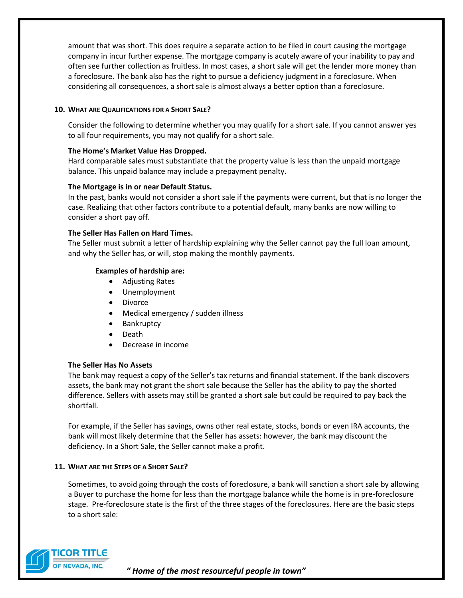amount that was short. This does require a separate action to be filed in court causing the mortgage company in incur further expense. The mortgage company is acutely aware of your inability to pay and often see further collection as fruitless. In most cases, a short sale will get the lender more money than a foreclosure. The bank also has the right to pursue a deficiency judgment in a foreclosure. When considering all consequences, a short sale is almost always a better option than a foreclosure.

# **10. WHAT ARE QUALIFICATIONS FOR A SHORT SALE?**

Consider the following to determine whether you may qualify for a short sale. If you cannot answer yes to all four requirements, you may not qualify for a short sale.

# **The Home's Market Value Has Dropped.**

Hard comparable sales must substantiate that the property value is less than the unpaid mortgage balance. This unpaid balance may include a prepayment penalty.

# **The Mortgage is in or near Default Status.**

In the past, banks would not consider a short sale if the payments were current, but that is no longer the case. Realizing that other factors contribute to a potential default, many banks are now willing to consider a short pay off.

# **The Seller Has Fallen on Hard Times.**

The Seller must submit a letter of hardship explaining why the Seller cannot pay the full loan amount, and why the Seller has, or will, stop making the monthly payments.

# **Examples of hardship are:**

- Adjusting Rates
- Unemployment
- Divorce
- Medical emergency / sudden illness
- Bankruptcy
- Death
- Decrease in income

# **The Seller Has No Assets**

The bank may request a copy of the Seller's tax returns and financial statement. If the bank discovers assets, the bank may not grant the short sale because the Seller has the ability to pay the shorted difference. Sellers with assets may still be granted a short sale but could be required to pay back the shortfall.

For example, if the Seller has savings, owns other real estate, stocks, bonds or even IRA accounts, the bank will most likely determine that the Seller has assets: however, the bank may discount the deficiency. In a Short Sale, the Seller cannot make a profit.

# **11. WHAT ARE THE STEPS OF A SHORT SALE?**

Sometimes, to avoid going through the costs of foreclosure, a bank will sanction a short sale by allowing a Buyer to purchase the home for less than the mortgage balance while the home is in pre-foreclosure stage. Pre-foreclosure state is the first of the three stages of the foreclosures. Here are the basic steps to a short sale:

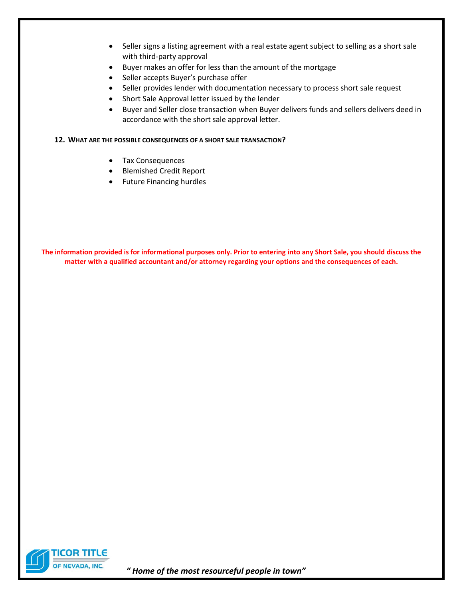- Seller signs a listing agreement with a real estate agent subject to selling as a short sale with third-party approval
- Buyer makes an offer for less than the amount of the mortgage
- Seller accepts Buyer's purchase offer
- Seller provides lender with documentation necessary to process short sale request
- Short Sale Approval letter issued by the lender
- Buyer and Seller close transaction when Buyer delivers funds and sellers delivers deed in accordance with the short sale approval letter.

# **12. WHAT ARE THE POSSIBLE CONSEQUENCES OF A SHORT SALE TRANSACTION?**

- Tax Consequences
- Blemished Credit Report
- Future Financing hurdles

**The information provided is for informational purposes only. Prior to entering into any Short Sale, you should discuss the matter with a qualified accountant and/or attorney regarding your options and the consequences of each.**

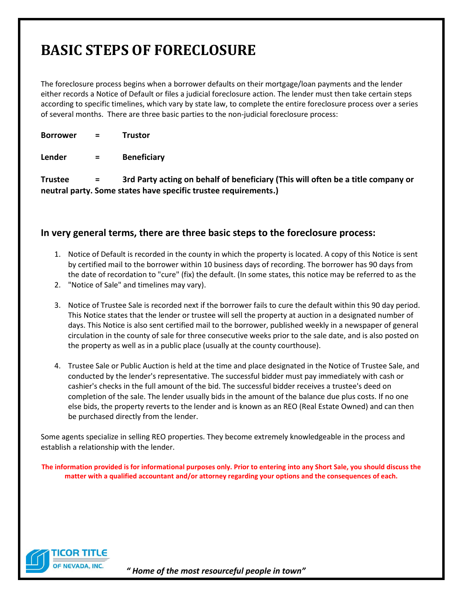# **BASIC STEPS OF FORECLOSURE**

The foreclosure process begins when a borrower defaults on their mortgage/loan payments and the lender either records a Notice of Default or files a judicial foreclosure action. The lender must then take certain steps according to specific timelines, which vary by state law, to complete the entire foreclosure process over a series of several months. There are three basic parties to the non-judicial foreclosure process:

**Borrower = Trustor**

**Lender = Beneficiary**

**Trustee = 3rd Party acting on behalf of beneficiary (This will often be a title company or neutral party. Some states have specific trustee requirements.)**

# **In very general terms, there are three basic steps to the foreclosure process:**

- 1. Notice of Default is recorded in the county in which the property is located. A copy of this Notice is sent by certified mail to the borrower within 10 business days of recording. The borrower has 90 days from the date of recordation to "cure" (fix) the default. (In some states, this notice may be referred to as the
- 2. "Notice of Sale" and timelines may vary).
- 3. Notice of Trustee Sale is recorded next if the borrower fails to cure the default within this 90 day period. This Notice states that the lender or trustee will sell the property at auction in a designated number of days. This Notice is also sent certified mail to the borrower, published weekly in a newspaper of general circulation in the county of sale for three consecutive weeks prior to the sale date, and is also posted on the property as well as in a public place (usually at the county courthouse).
- 4. Trustee Sale or Public Auction is held at the time and place designated in the Notice of Trustee Sale, and conducted by the lender's representative. The successful bidder must pay immediately with cash or cashier's checks in the full amount of the bid. The successful bidder receives a trustee's deed on completion of the sale. The lender usually bids in the amount of the balance due plus costs. If no one else bids, the property reverts to the lender and is known as an REO (Real Estate Owned) and can then be purchased directly from the lender.

Some agents specialize in selling REO properties. They become extremely knowledgeable in the process and establish a relationship with the lender.

**The information provided is for informational purposes only. Prior to entering into any Short Sale, you should discuss the matter with a qualified accountant and/or attorney regarding your options and the consequences of each.**

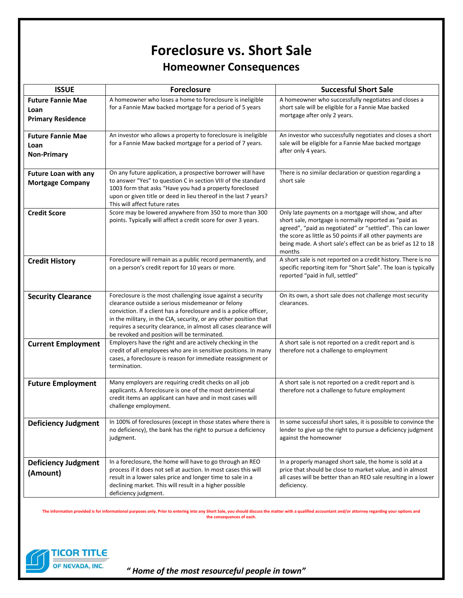# **Foreclosure vs. Short Sale Homeowner Consequences**

| <b>ISSUE</b>                | <b>Foreclosure</b>                                                                                                                      | <b>Successful Short Sale</b>                                                                                                |
|-----------------------------|-----------------------------------------------------------------------------------------------------------------------------------------|-----------------------------------------------------------------------------------------------------------------------------|
| <b>Future Fannie Mae</b>    | A homeowner who loses a home to foreclosure is ineligible                                                                               | A homeowner who successfully negotiates and closes a                                                                        |
| Loan                        | for a Fannie Maw backed mortgage for a period of 5 years                                                                                | short sale will be eligible for a Fannie Mae backed                                                                         |
| <b>Primary Residence</b>    |                                                                                                                                         | mortgage after only 2 years.                                                                                                |
|                             |                                                                                                                                         |                                                                                                                             |
| <b>Future Fannie Mae</b>    | An investor who allows a property to foreclosure is ineligible                                                                          | An investor who successfully negotiates and closes a short                                                                  |
| Loan                        | for a Fannie Maw backed mortgage for a period of 7 years.                                                                               | sale will be eligible for a Fannie Mae backed mortgage                                                                      |
| <b>Non-Primary</b>          |                                                                                                                                         | after only 4 years.                                                                                                         |
|                             |                                                                                                                                         |                                                                                                                             |
| <b>Future Loan with any</b> | On any future application, a prospective borrower will have                                                                             | There is no similar declaration or question regarding a                                                                     |
| <b>Mortgage Company</b>     | to answer "Yes" to question C in section VIII of the standard                                                                           | short sale                                                                                                                  |
|                             | 1003 form that asks "Have you had a property foreclosed                                                                                 |                                                                                                                             |
|                             | upon or given title or deed in lieu thereof in the last 7 years?<br>This will affect future rates                                       |                                                                                                                             |
| <b>Credit Score</b>         | Score may be lowered anywhere from 350 to more than 300                                                                                 | Only late payments on a mortgage will show, and after                                                                       |
|                             | points. Typically will affect a credit score for over 3 years.                                                                          | short sale, mortgage is normally reported as "paid as                                                                       |
|                             |                                                                                                                                         | agreed", "paid as negotiated" or "settled". This can lower                                                                  |
|                             |                                                                                                                                         | the score as little as 50 points if all other payments are<br>being made. A short sale's effect can be as brief as 12 to 18 |
|                             |                                                                                                                                         | months                                                                                                                      |
| <b>Credit History</b>       | Foreclosure will remain as a public record permanently, and                                                                             | A short sale is not reported on a credit history. There is no                                                               |
|                             | on a person's credit report for 10 years or more.                                                                                       | specific reporting item for "Short Sale". The loan is typically                                                             |
|                             |                                                                                                                                         | reported "paid in full, settled"                                                                                            |
|                             |                                                                                                                                         |                                                                                                                             |
| <b>Security Clearance</b>   | Foreclosure is the most challenging issue against a security                                                                            | On its own, a short sale does not challenge most security                                                                   |
|                             | clearance outside a serious misdemeanor or felony                                                                                       | clearances.                                                                                                                 |
|                             | conviction. If a client has a foreclosure and is a police officer,<br>in the military, in the CIA, security, or any other position that |                                                                                                                             |
|                             | requires a security clearance, in almost all cases clearance will                                                                       |                                                                                                                             |
|                             | be revoked and position will be terminated.                                                                                             |                                                                                                                             |
| <b>Current Employment</b>   | Employers have the right and are actively checking in the                                                                               | A short sale is not reported on a credit report and is                                                                      |
|                             | credit of all employees who are in sensitive positions. In many                                                                         | therefore not a challenge to employment                                                                                     |
|                             | cases, a foreclosure is reason for immediate reassignment or<br>termination.                                                            |                                                                                                                             |
|                             |                                                                                                                                         |                                                                                                                             |
| <b>Future Employment</b>    | Many employers are requiring credit checks on all job                                                                                   | A short sale is not reported on a credit report and is                                                                      |
|                             | applicants. A foreclosure is one of the most detrimental                                                                                | therefore not a challenge to future employment                                                                              |
|                             | credit items an applicant can have and in most cases will                                                                               |                                                                                                                             |
|                             | challenge employment.                                                                                                                   |                                                                                                                             |
| <b>Deficiency Judgment</b>  | In 100% of foreclosures (except in those states where there is                                                                          | In some successful short sales, it is possible to convince the                                                              |
|                             | no deficiency), the bank has the right to pursue a deficiency                                                                           | lender to give up the right to pursue a deficiency judgment                                                                 |
|                             | judgment.                                                                                                                               | against the homeowner                                                                                                       |
|                             |                                                                                                                                         |                                                                                                                             |
| <b>Deficiency Judgment</b>  | In a foreclosure, the home will have to go through an REO                                                                               | In a properly managed short sale, the home is sold at a                                                                     |
|                             | process if it does not sell at auction. In most cases this will                                                                         | price that should be close to market value, and in almost                                                                   |
| (Amount)                    | result in a lower sales price and longer time to sale in a                                                                              | all cases will be better than an REO sale resulting in a lower                                                              |
|                             | declining market. This will result in a higher possible                                                                                 | deficiency.                                                                                                                 |
|                             | deficiency judgment.                                                                                                                    |                                                                                                                             |

The information provided is for informational purposes only. Prior to entering into any Short Sale, you should discuss the matter with a qualified accountant and/or attorney regarding your options and<br>the consequences of e

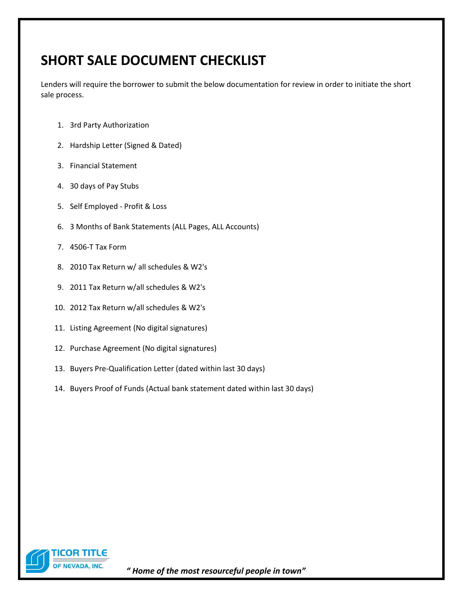# **SHORT SALE DOCUMENT CHECKLIST**

Lenders will require the borrower to submit the below documentation for review in order to initiate the short sale process.

- 1. 3rd Party Authorization
- 2. Hardship Letter (Signed & Dated)
- 3. Financial Statement
- 4. 30 days of Pay Stubs
- 5. Self Employed Profit & Loss
- 6. 3 Months of Bank Statements (ALL Pages, ALL Accounts)
- 7. 4506-T Tax Form
- 8. 2010 Tax Return w/ all schedules & W2's
- 9. 2011 Tax Return w/all schedules & W2's
- 10. 2012 Tax Return w/all schedules & W2's
- 11. Listing Agreement (No digital signatures)
- 12. Purchase Agreement (No digital signatures)
- 13. Buyers Pre-Qualification Letter (dated within last 30 days)
- 14. Buyers Proof of Funds (Actual bank statement dated within last 30 days)

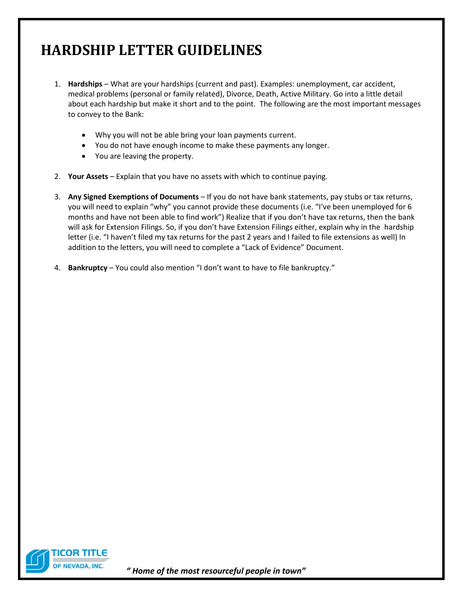# **HARDSHIP LETTER GUIDELINES**

- 1. **Hardships** What are your hardships (current and past). Examples: unemployment, car accident, medical problems (personal or family related), Divorce, Death, Active Military. Go into a little detail about each hardship but make it short and to the point. The following are the most important messages to convey to the Bank:
	- Why you will not be able bring your loan payments current.
	- You do not have enough income to make these payments any longer.
	- You are leaving the property.
- 2. **Your Assets** Explain that you have no assets with which to continue paying.
- 3. **Any Signed Exemptions of Documents** If you do not have bank statements, pay stubs or tax returns, you will need to explain "why" you cannot provide these documents (i.e. "I've been unemployed for 6 months and have not been able to find work") Realize that if you don't have tax returns, then the bank will ask for Extension Filings. So, if you don't have Extension Filings either, explain why in the hardship letter (i.e. "I haven't filed my tax returns for the past 2 years and I failed to file extensions as well) In addition to the letters, you will need to complete a "Lack of Evidence" Document.
- 4. **Bankruptcy** You could also mention "I don't want to have to file bankruptcy."